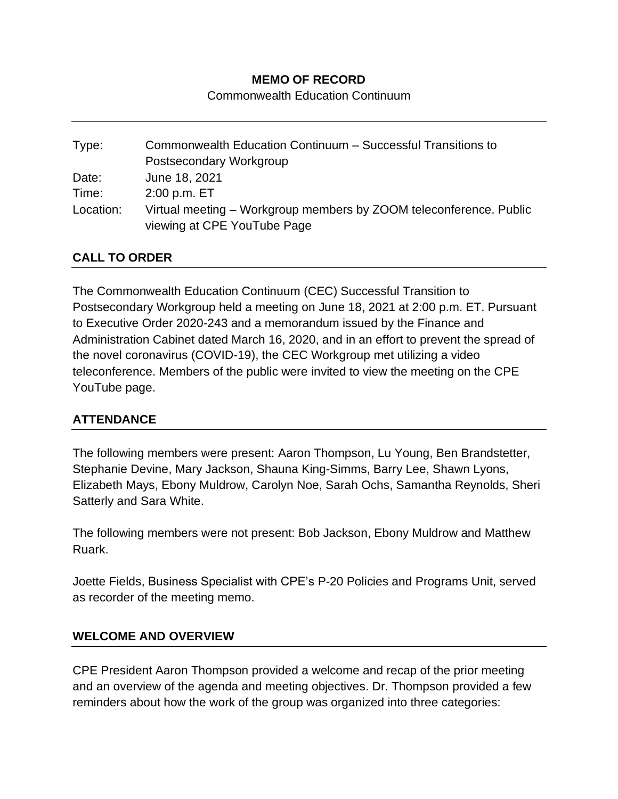#### **MEMO OF RECORD**

Commonwealth Education Continuum

| Type:     | Commonwealth Education Continuum - Successful Transitions to       |
|-----------|--------------------------------------------------------------------|
|           | Postsecondary Workgroup                                            |
| Date:     | June 18, 2021                                                      |
| Time:     | $2:00$ p.m. $ET$                                                   |
| Location: | Virtual meeting – Workgroup members by ZOOM teleconference. Public |
|           | viewing at CPE YouTube Page                                        |

### **CALL TO ORDER**

The Commonwealth Education Continuum (CEC) Successful Transition to Postsecondary Workgroup held a meeting on June 18, 2021 at 2:00 p.m. ET. Pursuant to Executive Order 2020-243 and a memorandum issued by the Finance and Administration Cabinet dated March 16, 2020, and in an effort to prevent the spread of the novel coronavirus (COVID-19), the CEC Workgroup met utilizing a video teleconference. Members of the public were invited to view the meeting on the CPE YouTube page.

#### **ATTENDANCE**

The following members were present: Aaron Thompson, Lu Young, Ben Brandstetter, Stephanie Devine, Mary Jackson, Shauna King-Simms, Barry Lee, Shawn Lyons, Elizabeth Mays, Ebony Muldrow, Carolyn Noe, Sarah Ochs, Samantha Reynolds, Sheri Satterly and Sara White.

The following members were not present: Bob Jackson, Ebony Muldrow and Matthew Ruark.

Joette Fields, Business Specialist with CPE's P-20 Policies and Programs Unit, served as recorder of the meeting memo.

#### **WELCOME AND OVERVIEW**

CPE President Aaron Thompson provided a welcome and recap of the prior meeting and an overview of the agenda and meeting objectives. Dr. Thompson provided a few reminders about how the work of the group was organized into three categories: